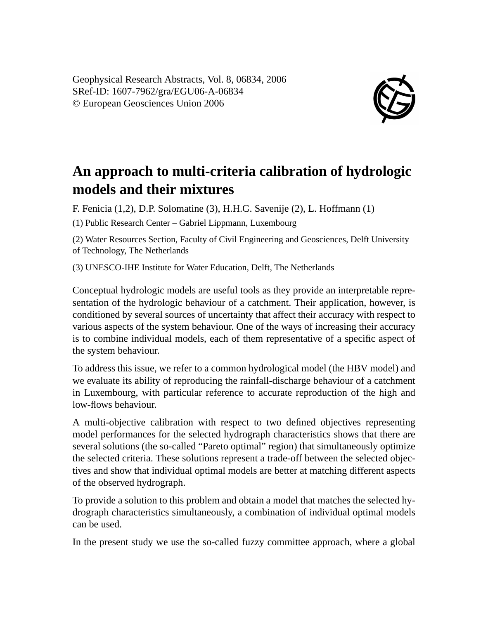Geophysical Research Abstracts, Vol. 8, 06834, 2006 SRef-ID: 1607-7962/gra/EGU06-A-06834 © European Geosciences Union 2006



## **An approach to multi-criteria calibration of hydrologic models and their mixtures**

F. Fenicia (1,2), D.P. Solomatine (3), H.H.G. Savenije (2), L. Hoffmann (1)

(1) Public Research Center – Gabriel Lippmann, Luxembourg

(2) Water Resources Section, Faculty of Civil Engineering and Geosciences, Delft University of Technology, The Netherlands

(3) UNESCO-IHE Institute for Water Education, Delft, The Netherlands

Conceptual hydrologic models are useful tools as they provide an interpretable representation of the hydrologic behaviour of a catchment. Their application, however, is conditioned by several sources of uncertainty that affect their accuracy with respect to various aspects of the system behaviour. One of the ways of increasing their accuracy is to combine individual models, each of them representative of a specific aspect of the system behaviour.

To address this issue, we refer to a common hydrological model (the HBV model) and we evaluate its ability of reproducing the rainfall-discharge behaviour of a catchment in Luxembourg, with particular reference to accurate reproduction of the high and low-flows behaviour.

A multi-objective calibration with respect to two defined objectives representing model performances for the selected hydrograph characteristics shows that there are several solutions (the so-called "Pareto optimal" region) that simultaneously optimize the selected criteria. These solutions represent a trade-off between the selected objectives and show that individual optimal models are better at matching different aspects of the observed hydrograph.

To provide a solution to this problem and obtain a model that matches the selected hydrograph characteristics simultaneously, a combination of individual optimal models can be used.

In the present study we use the so-called fuzzy committee approach, where a global